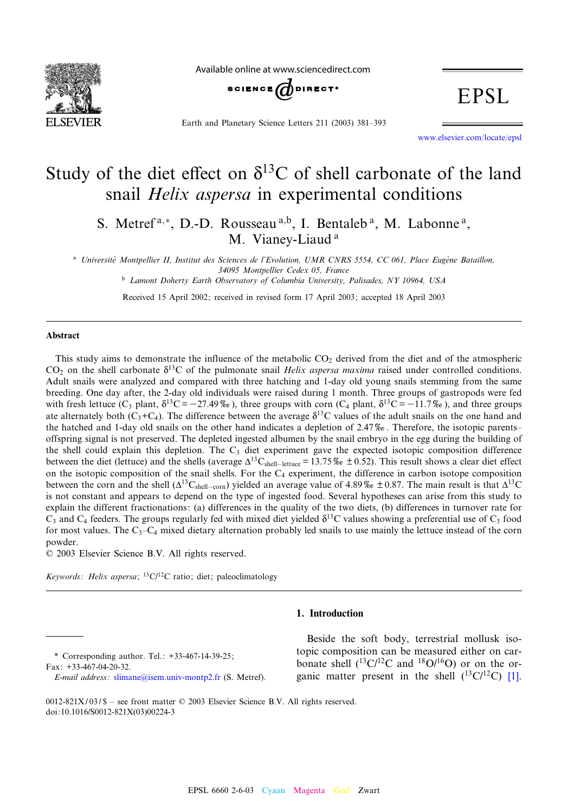

Available online at www.sciencedirect.com



Earth and Planetary Science Letters 211 (2003) 381-393

**EPSL** 

www.elsevier.com/locate/epsl

# Study of the diet effect on  $\delta^{13}$ C of shell carbonate of the land snail Helix aspersa in experimental conditions

S. Metref<sup>a,\*</sup>, D.-D. Rousseau<sup>a,b</sup>, I. Bentaleb<sup>a</sup>, M. Labonne<sup>a</sup>, M. Vianey-Liaud<sup>a</sup>

<sup>a</sup> Université Montpellier II, Institut des Sciences de l'Evolution, UMR CNRS 5554, CC 061, Place Eugène Bataillon, 34095 Montpellier Cedex 05, France <sup>b</sup> Lamont Doherty Earth Observatory of Columbia University, Palisades, NY 10964, USA

Received 15 April 2002; received in revised form 17 April 2003; accepted 18 April 2003

#### Abstract

This study aims to demonstrate the influence of the metabolic  $CO<sub>2</sub>$  derived from the diet and of the atmospheric  $CO<sub>2</sub>$  on the shell carbonate  $\delta^{13}C$  of the pulmonate snail *Helix aspersa maxima* raised under controlled conditions. Adult snails were analyzed and compared with three hatching and 1-day old young snails stemming from the same breeding. One day after, the 2-day old individuals were raised during 1 month. Three groups of gastropods were fed with fresh lettuce  $(C_3$  plant,  $\delta^{13}C = -27.49\%$ , three groups with corn  $(C_4$  plant,  $\delta^{13}C = -11.7\%$ ), and three groups ate alternately both  $(C_3+C_4)$ . The difference between the average  $\delta^{13}C$  values of the adult snails on the one hand and the hatched and 1-day old snails on the other hand indicates a depletion of 2.47%. Therefore, the isotopic parentsoffspring signal is not preserved. The depleted ingested albumen by the snail embryo in the egg during the building of the shell could explain this depletion. The  $C_3$  diet experiment gave the expected isotopic composition difference between the diet (lettuce) and the shells (average  $\Delta^{13}C_{shell-\text{lettuce}} = 13.75\% \text{ to } \pm 0.52$ ). This result shows a clear diet effect on the isotopic composition of the snail shells. For the  $C_4$  experiment, the difference in carbon isotope composition between the corn and the shell ( $\Delta^{13}C_{shell-con}$ ) yielded an average value of 4.89%  $\pm$  0.87. The main result is that  $\Delta^{13}C$ is not constant and appears to depend on the type of ingested food. Several hypotheses can arise from this study to explain the different fractionations: (a) differences in the quality of the two diets, (b) differences in turnover rate for  $C_3$  and  $C_4$  feeders. The groups regularly fed with mixed diet yielded  $\delta^{13}C$  values showing a preferential use of  $C_3$  food for most values. The  $C_3 - C_4$  mixed dietary alternation probably led snails to use mainly the lettuce instead of the corn powder.

 $© 2003 Elsevier Science B.V. All rights reserved.$ 

Keywords: Helix aspersa;  ${}^{13}C/{}^{12}C$  ratio; diet; paleoclimatology

# 1. Introduction

\* Correspondin[g author. Tel.: +33-467-14-39-](mailto:slimane@isem.univ-montp2.fr)25; Fax: +33-467-04-20-32.

Beside the soft body, terrestrial mollusk isotopic composition can be measured either on [car](#page-11-0)bonate shell  $(^{13}C/^{12}C$  and  $^{18}O/^{16}O$ ) or on the organic matter present in the shell  $(^{13}C/^{12}C)$  [1].

0012-821X/03/\$ – see front matter  $©$  2003 Elsevier Science B.V. All rights reserved. doi:10.1016/S0012-821X(03)00224-3

E-mail address: slimane@isem.univ-montp2.fr (S. Metref).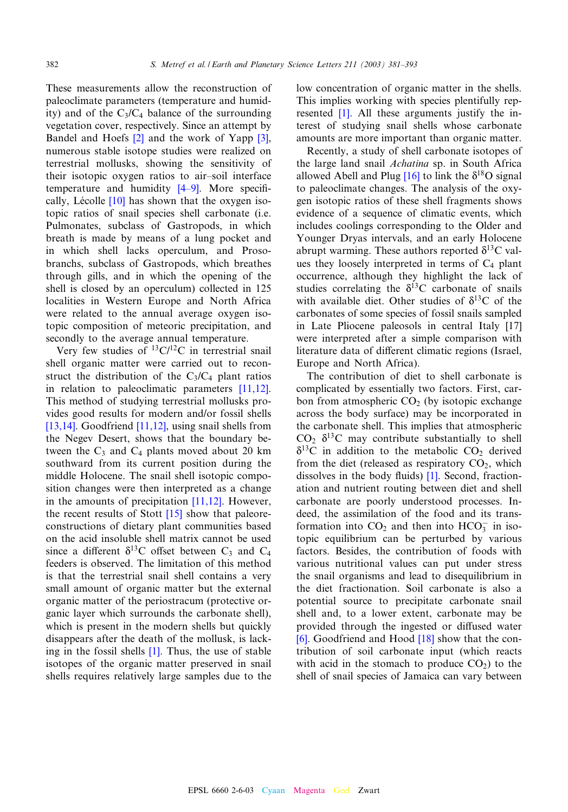These measurements allow the reconstruction of paleoclimate parameters (temperature and humidity) and of the  $C_3/C_4$  balance of the surround[ing](#page-11-0) vegetation cover, respectively. Since an attempt by Bandel and Hoefs [2] and the work of Yapp [3], numerous stable isotope studies were realized on terrestrial mollusks, showin[g the](#page-11-0) sensitivity of their isotopic [oxy](#page-11-0)gen ratios to air-soil interface temperature and humidity  $[4-9]$ . More specifically, Lécolle  $[10]$  has shown that the oxygen isotopic ratios of snail species shell carbonate (i.e. Pulmonates, subclass of Gastropods, in which breath is made by means of a lung pocket and in which shell lacks operculum, and Prosobranchs, subclass of Gastropods, which breathes through gills, and in which the opening of the shell is closed by an operculum) collected in 125 localities in Western Europe and North Africa were related to the annual average oxygen isotopic composition of meteoric precipitation, and secondly to the average annual temperature.

Very few studies of  ${}^{13}C/{}^{12}C$  in terrestrial snail shell organic matter were carried out to [recon](#page-11-0)struct the distribution of the  $C_3/C_4$  plant ratios in relation to paleoclimatic parameters [11,12]. [This m](#page-11-0)ethod of stu[dying te](#page-11-0)rrestrial mollusks provides good results for modern and/or fossil shells [13,14]. Goodfriend [11,12], using snail shells from the Negev Desert, shows that the boundary between the  $C_3$  and  $C_4$  plants moved about 20 km southward from its current position during the middle Holocene. The snail shel[l isotop](#page-11-0)ic composition changes were then [inter](#page-11-0)preted as a change in the amounts of precipitation [11,12]. However, the recent results of Stott [15] show that paleoreconstructions of dietary plant communities based on the acid insoluble shell matrix cannot be used since a different  $\delta^{13}$ C offset between C<sub>3</sub> and C<sub>4</sub> feeders is observed. The limitation of this method is that the terrestrial snail shell contains a very small amount of organic matter but the external organic matter of the periostracum (protective organic layer which surrounds the carbonate shell), which is present in th[e m](#page-11-0)odern shells but quickly disappears after the death of the mollusk, is lacking in the fossil shells [1]. Thus, the use of stable isotopes of the organic matter preserved in snail shells requires relatively large samples due to the

low conc[ent](#page-11-0)ration of organic matter in the shells. This implies working with species plentifully represented [1]. All these arguments justify the interest of studying snail shells whose carbonate amounts are more important than organic matter.

Recently, a study of [shell](#page-11-0) carbonate isotopes of the large land snail Achatina sp. in South Africa allowed Abell and Plug  $[16]$  to link the  $\delta^{18}$ O signal to paleoclimate changes. The analysis of the oxygen isotopic ratios of these shell fragments shows evidence of a sequence of climatic events, which includes coolings corresponding to the Older and Younger Dryas intervals, and an early Holocene abrupt warming. These authors reported  $\delta^{13}$ C values they loosely interpreted in terms of  $C_4$  plant occurrence, although they highlight the lack of studies correlating the  $\delta^{13}$ C carbonate of snails with available diet. Other studies of  $\delta^{13}$ C of [the](#page-11-0) carbonates of some species of fossil snails sampled in Late Pliocene paleosols in central Italy [17] were interpreted after a simple comparison with literature data of different climatic regions (Israel, Europe and North Africa).

The contribution of diet to shell carbonate is complicated by essentially two factors. First, carbon from atmospheric  $CO<sub>2</sub>$  (by isotopic exchange across the body surface) may be incorporated in the carbonate shell. This implies that atmospheric  $CO<sub>2</sub> \delta<sup>13</sup>C$  may contribute substantially to shell  $\delta^{13}$ C in addition to the m[etab](#page-11-0)olic CO<sub>2</sub> derived from the diet (released as respiratory  $CO<sub>2</sub>$ , which dissolves in the body fluids)  $[1]$ . Second, fractionation and nutrient routing between diet and shell carbonate are poorly understood processes. Indeed, the assimilation of the food and its transformation into  $CO_2$  and then into  $HCO_3^-$  in isotopic equilibrium can be perturbed by various factors. Besides, the contribution of foods with various nutritional values can put under stress the snail organisms and lead to disequilibrium in the diet fractionation. Soil carbonate is also a potential source to precipitate carbonate snail [she](#page-11-0)ll and, to a lower ext[ent,](#page-11-0) carbonate may be provided through the ingested or diffused water [6]. Goodfriend and Hood [18] show that the contribution of soil carbonate input (which reacts with acid in the stomach to produce  $CO<sub>2</sub>$ ) to the shell of snail species of Jamaica can vary between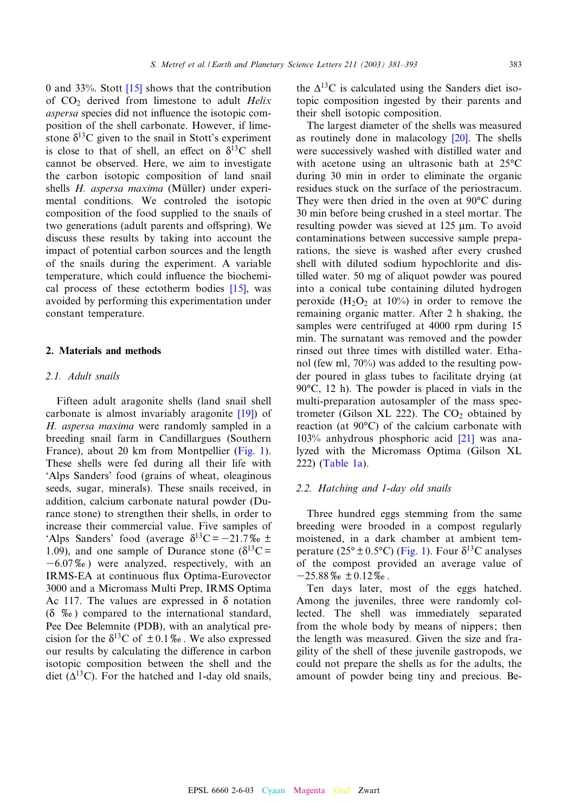0 and 33%. Stott  $[15]$  shows that the contribution of  $CO<sub>2</sub>$  derived from limestone to adult Helix aspersa species did not influence the isotopic composition of the shell carbonate. However, if limestone  $\delta^{13}$ C given to the snail in Stott's experiment is close to that of shell, an effect on  $\delta^{13}$ C shell cannot be observed. Here, we aim to investigate the carbon isotopic composition of land snail shells  $H$ . aspersa maxima (Müller) under experimental conditions. We controled the isotopic composition of the food supplied to the snails of two generations (adult parents and offspring). We discuss these results by taking into account the impact of potential carbon sources and the length of the snails during the experiment. [A var](#page-11-0)iable temperature, which could influence the biochemical process of these ectotherm bodies [15], was avoided by performing this experimentation under constant temperature.

#### 2. Materials and methods

# 2.1. Adult snails

Fifteen adult aragonite shells (land sn[ail](#page-11-0) [s](#page-11-0)hell carbonate is almost invariably aragonite [19]) of H. aspersa maxima were randomly samp[led in](#page-3-0) a breeding snail farm in Candillargues (Southern France), about 20 km from Montpellier (Fig. 1). These shells were fed during all their life with 'Alps Sanders' food (grains of wheat, oleaginous seeds, sugar, minerals). These snails received, in addition, calcium carbonate natural powder (Durance stone) to strengthen their shells, in order to increase their commercial value. Five samples of 'Alps Sanders' food (average  $\delta^{13}C = -21.7\%$ <sub>0</sub> ± 1.09), and one sample of Durance stone ( $\delta^{13}C =$  $-6.07\%$ ) were analyzed, respectively, with an IRMS-EA at continuous flux Optima-Eurovector 3000 and a Micromass Multi Prep, IRMS Optima Ac 117. The values are expressed in  $\delta$  notation  $(\delta \%_{o})$  compared to the international standard, Pee Dee Belemnite (PDB), with an analytical precision for the  $\delta^{13}$ C of  $\pm 0.1\%$ . We also expressed our results by calculating the difference in carbon isotopic composition between the shell and the diet ( $\Delta^{13}$ C). For the hatched and 1-day old snails,

the  $\Delta^{13}$ C is calculated using the Sanders diet isotopic composition ingested by their parents and their shell isotopic composition.

The largest diameter of the shel[ls](#page-11-0) [wa](#page-11-0)s measured as routinely done in malacology [20]. The shells were successively washed with distilled water and with acetone using an ultrasonic bath at  $25^{\circ}$ C during 30 min in order to eliminate the organic residues stuck on the surface of the periostracum. They were then dried in the oven at  $90^{\circ}$ C during 30 min before being crushed in a steel mortar. The resulting powder was sieved at 125 µm. To avoid contaminations between successive sample preparations, the sieve is washed after every crushed shell with diluted sodium hypochlorite and distilled water. 50 mg of aliquot powder was poured into a conical tube containing diluted hydrogen peroxide  $(H_2O_2$  at 10%) in order to remove the remaining organic matter. After 2 h shaking, the samples were centrifuged at 4000 rpm during 15 min. The surnatant was removed and the powder rinsed out three times with distilled water. Ethanol (few ml, 70%) was added to the resulting powder poured in glass tubes to facilitate drying (at  $90^{\circ}$ C, 12 h). The powder is placed in vials in the multi-preparation autosampler of the mass spectrometer (Gilson XL 222). The  $CO<sub>2</sub>$  [ob](#page-11-0)tained by reaction (at  $90^{\circ}$ C) of the calcium carbonate with 103% [anhydro](#page-4-0)us phosphoric acid [21] was analyzed with the Micromass Optima (Gilson XL 222) (Table 1a).

## 2.2. Hatching and 1-day old snails

Three hundred eggs stemming from the same breeding were broode[d in a](#page-3-0) compost regularly moistened, in a dark chamber at ambient temperature ( $25^{\circ} \pm 0.5^{\circ}$ C) (Fig. 1). Four  $\delta^{13}$ C analyses of the compost provided an average value of  $-25.88\%$ <sub>o</sub>  $\pm 0.12\%$ o.

Ten days later, most of the eggs hatched. Among the juveniles, three were randomly collected. The shell was immediately separated from the whole body by means of nippers; then the length was measured. Given the size and fragility of the shell of these juvenile gastropods, we could not prepare the shells as for the adults, the amount of powder being tiny and precious. Be-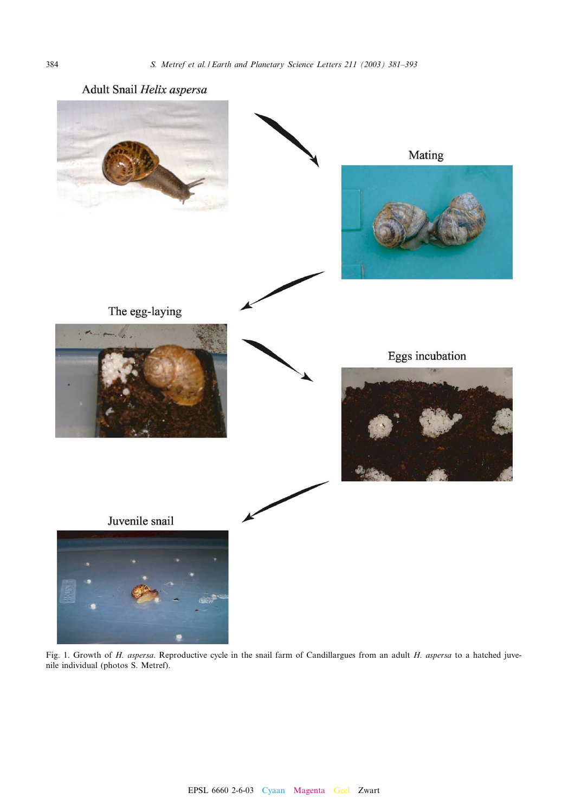<span id="page-3-0"></span>

Fig. 1. Growth of H. aspersa. Reproductive cycle in the snail farm of Candillargues from an adult H. aspersa to a hatched juvenile individual (photos S. Metref).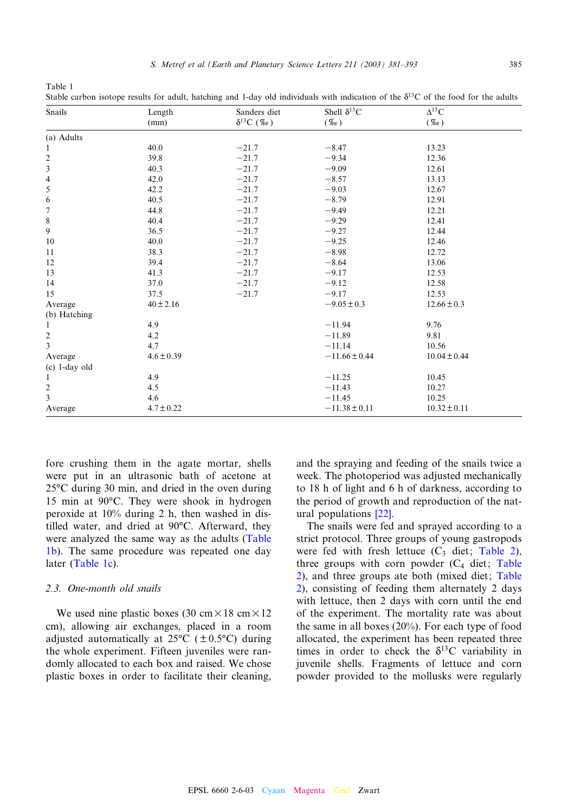| Snails                   | Length         | Sanders diet        | Shell $\delta^{13}C$ | black carbon isotope results for aguit, natelling and r-day old murviduals with indication of the $\sigma$ of the food for the aguits<br>$\Delta^{13}$ C |
|--------------------------|----------------|---------------------|----------------------|----------------------------------------------------------------------------------------------------------------------------------------------------------|
|                          | (mm)           | $\delta^{13}C$ (%0) | $(\%o)$              | $(\%o)$                                                                                                                                                  |
| (a) Adults               |                |                     |                      |                                                                                                                                                          |
| $\mathbf{1}$             | 40.0           | $-21.7$             | $-8.47$              | 13.23                                                                                                                                                    |
|                          | 39.8           | $-21.7$             | $-9.34$              | 12.36                                                                                                                                                    |
| $\frac{2}{3}$            | 40.3           | $-21.7$             | $-9.09$              | 12.61                                                                                                                                                    |
| $\overline{\mathcal{L}}$ | 42.0           | $-21.7$             | $-8.57$              | 13.13                                                                                                                                                    |
| 5                        | 42.2           | $-21.7$             | $-9.03$              | 12.67                                                                                                                                                    |
| 6                        | 40.5           | $-21.7$             | $-8.79$              | 12.91                                                                                                                                                    |
| $\boldsymbol{7}$         | 44.8           | $-21.7$             | $-9.49$              | 12.21                                                                                                                                                    |
| 8                        | 40.4           | $-21.7$             | $-9.29$              | 12.41                                                                                                                                                    |
| 9                        | 36.5           | $-21.7$             | $-9.27$              | 12.44                                                                                                                                                    |
| 10                       | 40.0           | $-21.7$             | $-9.25$              | 12.46                                                                                                                                                    |
| 11                       | 38.3           | $-21.7$             | $-8.98$              | 12.72                                                                                                                                                    |
| 12                       | 39.4           | $-21.7$             | $-8.64$              | 13.06                                                                                                                                                    |
| 13                       | 41.3           | $-21.7$             | $-9.17$              | 12.53                                                                                                                                                    |
| 14                       | 37.0           | $-21.7$             | $-9.12$              | 12.58                                                                                                                                                    |
| 15                       | 37.5           | $-21.7$             | $-9.17$              | 12.53                                                                                                                                                    |
| Average                  | $40 \pm 2.16$  |                     | $-9.05 \pm 0.3$      | $12.66 \pm 0.3$                                                                                                                                          |
| (b) Hatching             |                |                     |                      |                                                                                                                                                          |
| 1                        | 4.9            |                     | $-11.94$             | 9.76                                                                                                                                                     |
| $\overline{\mathbf{c}}$  | 4.2            |                     | $-11.89$             | 9.81                                                                                                                                                     |
| 3                        | 4.7            |                     | $-11.14$             | 10.56                                                                                                                                                    |
| Average                  | $4.6 \pm 0.39$ |                     | $-11.66 \pm 0.44$    | $10.04 \pm 0.44$                                                                                                                                         |
| $(c)$ 1-day old          |                |                     |                      |                                                                                                                                                          |
| $\mathbf{1}$             | 4.9            |                     | $-11.25$             | 10.45                                                                                                                                                    |
| $\overline{\mathbf{c}}$  | 4.5            |                     | $-11.43$             | 10.27                                                                                                                                                    |
| 3                        | 4.6            |                     | $-11.45$             | 10.25                                                                                                                                                    |
| Average                  | $4.7 \pm 0.22$ |                     | $-11.38 \pm 0.11$    | $10.32 \pm 0.11$                                                                                                                                         |

<span id="page-4-0"></span>Table 1 Stable carbon isotope results for adult, hatching and 1-day old individuals with indication of the  $\delta^{13}C$  of the food for the adults

fore crushing them in the agate mortar, shells were put in an ultrasonic bath of acetone at  $25^{\circ}$ C during 30 min, and dried in the oven during 15 min at  $90^{\circ}$ C. They were shook in hydrogen peroxide at 10% during 2 h, then washed in distilled water, and dried at 90°C. Afterward, they were analyzed the same way as the adults (Table 1b). The same procedure was repeated one day later (Table 1c).

## 2.3. One-month old snails

We used nine plastic boxes (30 cm $\times$ 18 cm $\times$ 12 cm), allowing air exchanges, placed in a room adjusted automatically at  $25^{\circ}C$  ( $\pm 0.5^{\circ}C$ ) during the whole experiment. Fifteen juveniles were randomly allocated to each box and raised. We chose plastic boxes in order to facilitate their cleaning, and the spraying and feeding of the snails twice a week. The photoperiod was adjusted mechanically to 18 h of light a[nd 6](#page-11-0) h of darkness, according to the period of growth and reproduction of the natural populations [22].

The snails were fed and sprayed acco[rding to](#page-5-0) a strict protocol. Three groups of young gastr[opods](#page-5-0) [w](#page-5-0)ere fed with fresh lettuce  $(C_3$  diet; Ta[ble 2\),](#page-5-0) [th](#page-5-0)ree groups with corn powder  $(C_4$  diet; Table 2), and three groups ate both (mixed diet; Table 2), consisting of feeding them alternately 2 days with lettuce, then 2 days with corn until the end of the experiment. The mortality rate was about the same in all boxes (20%). For each type of food allocated, the experiment has been repeated three times in order to check the  $\delta^{13}$ C variability in juvenile shells. Fragments of lettuce and corn powder provided to the mollusks were regularly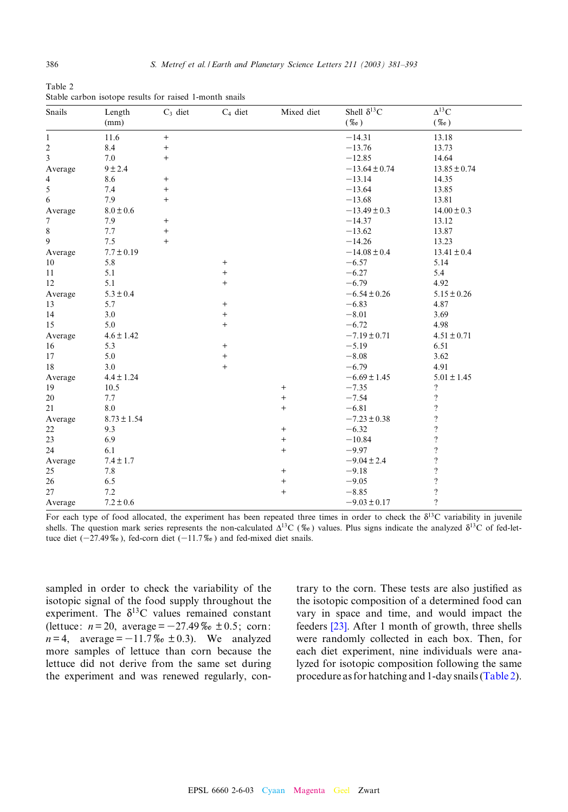| Snails           | Length          | $C_3$ diet        | $C_4$ diet        | Mixed diet | Shell $\delta^{13}C$ | $\Delta^{13}$ C          |  |
|------------------|-----------------|-------------------|-------------------|------------|----------------------|--------------------------|--|
|                  | (mm)            |                   |                   |            | $(\%o)$              | $(\%o)$                  |  |
| 1                | 11.6            | $\qquad \qquad +$ |                   |            | $-14.31$             | 13.18                    |  |
| $\overline{c}$   | 8.4             | $\qquad \qquad +$ |                   |            | $-13.76$             | 13.73                    |  |
| 3                | 7.0             | $^{+}$            |                   |            | $-12.85$             | 14.64                    |  |
| Average          | 9 ± 2.4         |                   |                   |            | $-13.64 \pm 0.74$    | $13.85 \pm 0.74$         |  |
| 4                | 8.6             | $^{+}$            |                   |            | $-13.14$             | 14.35                    |  |
| 5                | 7.4             | $^{+}$            |                   |            | $-13.64$             | 13.85                    |  |
| 6                | 7.9             | $+$               |                   |            | $-13.68$             | 13.81                    |  |
| Average          | $8.0 \pm 0.6$   |                   |                   |            | $-13.49 \pm 0.3$     | $14.00 \pm 0.3$          |  |
| $\boldsymbol{7}$ | 7.9             | $^{+}$            |                   |            | $-14.37$             | 13.12                    |  |
| 8                | 7.7             | $^{+}$            |                   |            | $-13.62$             | 13.87                    |  |
| 9                | 7.5             | $^{+}$            |                   |            | $-14.26$             | 13.23                    |  |
| Average          | $7.7 \pm 0.19$  |                   |                   |            | $-14.08 \pm 0.4$     | $13.41 \pm 0.4$          |  |
| 10               | 5.8             |                   | $+$               |            | $-6.57$              | 5.14                     |  |
| 11               | 5.1             |                   | $\qquad \qquad +$ |            | $-6.27$              | 5.4                      |  |
| 12               | 5.1             |                   | $^{+}$            |            | $-6.79$              | 4.92                     |  |
| Average          | $5.3 \pm 0.4$   |                   |                   |            | $-6.54 \pm 0.26$     | $5.15 \pm 0.26$          |  |
| 13               | 5.7             |                   | $\boldsymbol{+}$  |            | $-6.83$              | 4.87                     |  |
| 14               | 3.0             |                   | $\boldsymbol{+}$  |            | $-8.01$              | 3.69                     |  |
| 15               | 5.0             |                   | $\ddot{}$         |            | $-6.72$              | 4.98                     |  |
| Average          | $4.6 \pm 1.42$  |                   |                   |            | $-7.19 \pm 0.71$     | $4.51 \pm 0.71$          |  |
| 16               | 5.3             |                   | $\qquad \qquad +$ |            | $-5.19$              | 6.51                     |  |
| 17               | 5.0             |                   | $\boldsymbol{+}$  |            | $-8.08$              | 3.62                     |  |
| 18               | 3.0             |                   | $+$               |            | $-6.79$              | 4.91                     |  |
| Average          | $4.4 \pm 1.24$  |                   |                   |            | $-6.69 \pm 1.45$     | $5.01 \pm 1.45$          |  |
| 19               | 10.5            |                   |                   | $^{+}$     | $-7.35$              | $\cdot$                  |  |
| 20               | 7.7             |                   |                   | $\ddot{}$  | $-7.54$              | $\overline{?}$           |  |
| 21               | 8.0             |                   |                   | $^{+}$     | $-6.81$              | $\overline{\mathcal{L}}$ |  |
| Average          | $8.73 \pm 1.54$ |                   |                   |            | $-7.23 \pm 0.38$     | ?                        |  |
| 22               | 9.3             |                   |                   | $^{+}$     | $-6.32$              | $\overline{\mathcal{L}}$ |  |
| 23               | 6.9             |                   |                   | $^{+}$     | $-10.84$             | $\overline{?}$           |  |
| 24               | 6.1             |                   |                   | $^{+}$     | $-9.97$              | $\overline{\cdot}$       |  |
| Average          | $7.4 \pm 1.7$   |                   |                   |            | $-9.04 \pm 2.4$      | $\overline{?}$           |  |
| 25               | 7.8             |                   |                   | $^{+}$     | $-9.18$              | $\overline{\mathcal{C}}$ |  |
| 26               | 6.5             |                   |                   | $\ddot{}$  | $-9.05$              | $\overline{\mathcal{L}}$ |  |
| 27               | 7.2             |                   |                   | $+$        | $-8.85$              | $\overline{\mathcal{L}}$ |  |
| Average          | $7.2\pm0.6$     |                   |                   |            | $-9.03 \pm 0.17$     | $\gamma$                 |  |

<span id="page-5-0"></span>Table 2 Stable carbon isotope results for raised 1-month snails

For each type of food allocated, the experiment has been repeated three times in order to check the  $\delta^{13}C$  variability in juvenile shells. The question mark series represents the non-calculated  $\Delta^{13}C$  ( $\%$ ) values. Plus signs indicate the analyzed  $\delta^{13}C$  of fed-lettuce diet ( $-27.49\%$ ), fed-corn diet ( $-11.7\%$ ) and fed-mixed diet snails.

sampled in order to check the variability of the isotopic signal of the food supply throughout the experiment. The  $\delta^{13}$ C values remained constant (lettuce:  $n = 20$ , average =  $-27.49\%$   $\neq 0.5$ ; corn:  $n = 4$ , average = -11.7\% to ±0.3). We analyzed more samples of lettuce than corn because the lettuce did not derive from the same set during the experiment and was renewed regularly, con-

trary to the corn. These tests are also justified as the isot[opic](#page-11-0) composition of a determined food can vary in space and time, and would impact the feeders [23]. After 1 month of growth, three shells were randomly collected in each box. Then, for each diet experiment, nine individuals were analyzed for isotopic composition following the same procedure as for hatching and 1-day snails (Table 2).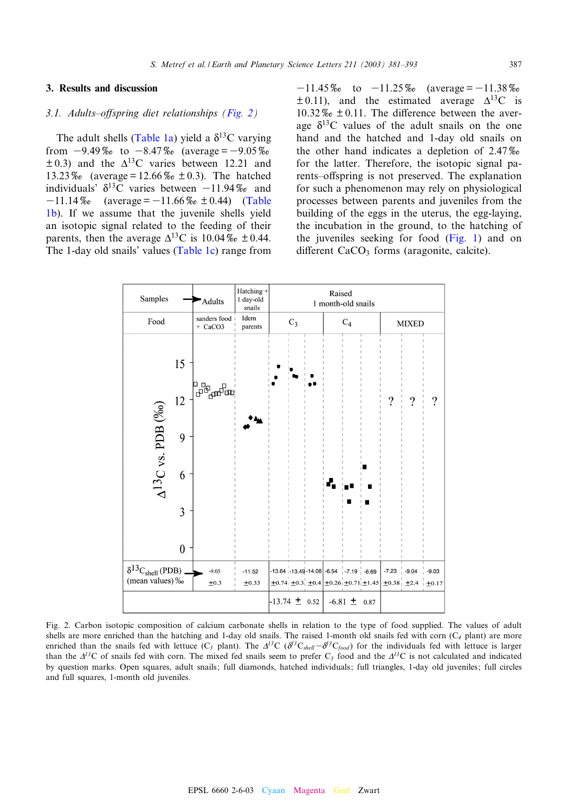## <span id="page-6-0"></span>3. Results and discussion

#### 3.1. Adults-offsprin[g diet rel](#page-4-0)ationships (Fig. 2)

The adult shells (Table 1a) yield a  $\delta^{13}$ C varying from  $-9.49\%$  to  $-8.47\%$  (average =  $-9.05\%$ )  $\pm$  0.3) and the  $\Delta$ <sup>13</sup>C varies between 12.21 and 13.23\% (average = 12.66\% both 0.3). The h[atched](#page-4-0) [ind](#page-4-0)ividuals'  $\delta^{13}$ C varies between  $-11.94\%$  and  $-11.14\%$  (average =  $-11.66\%$  ± 0.44) (Table 1b). If we assume that the juvenile shells yield an isotopic signal related t[o the feed](#page-4-0)ing of their parents, then the average  $\Delta^{13}$ C is 10.04\% + 0.44. The 1-day old snails' values (Table 1c) range from

 $-11.45\%$  to  $-11.25\%$  (average =  $-11.38\%$  $\pm$  0.11), and the estimated average  $\Delta^{13}$ C is  $10.32\%$   $\geq 0.11$ . The difference between the average  $\delta^{13}$ C values of the adult snails on the one hand and the hatched and 1-day old snails on the other hand indicates a depletion of  $2.47\%$ for the latter. Therefore, the isotopic signal parents–offspring is not preserved. The explanation for such a phenomenon may rely on physiological processes between parents and juveniles from the building of the eggs in the uteru[s, the eg](#page-3-0)g-laying, the incubation in the ground, to the hatching of the juveniles seeking for food (Fig. 1) and on different  $CaCO<sub>3</sub>$  forms (aragonite, calcite).



Fig. 2. Carbon isotopic composition of calcium carbonate shells in relation to the type of food supplied. The values of adult shells are more enriched than the hatching and 1-day old snails. The raised 1-month old snails fed with corn  $(C_4$  plant) are more enriched than the snails fed with lettuce  $(C_3$  plant). The  $\Delta^{13}C$  ( $\delta^{13}C_{shell} - \delta^{13}C_{food}$ ) for the individuals fed with lettuce is larger than the  $\Delta^{13}$ C of snails fed with corn. The mixed fed snails seem to prefer C<sub>3</sub> food and the  $\Delta^{13}$ C is not calculated and indicated by question marks. Open squares, adult snails; full diamonds, hatched individuals; full triangles, 1-day old juveniles; full circles and full squares, 1-month old juveniles.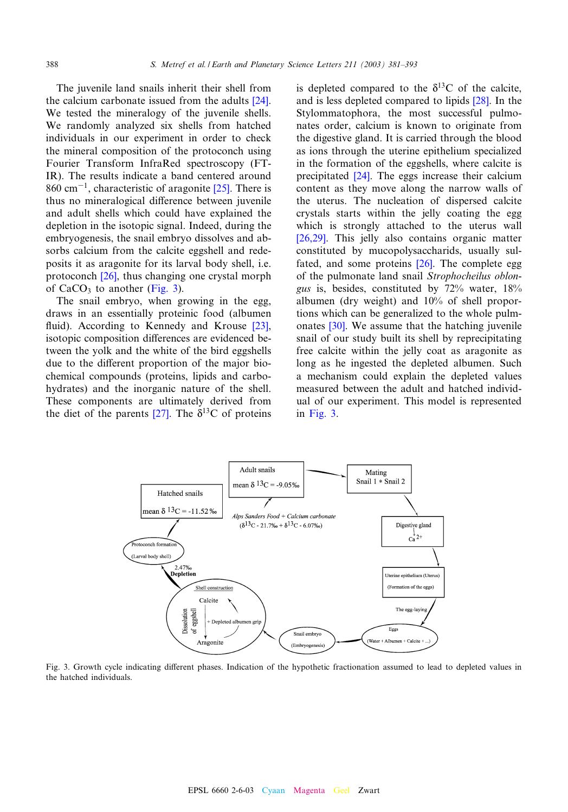The juvenile land snails inherit their shell [from](#page-11-0) the calcium carbonate issued from the adults [24]. We tested the mineralogy of the juvenile shells. We randomly analyzed six shells from hatched individuals in our experiment in order to check the mineral composition of the protoconch using Fourier Transform InfraRed spectr[osco](#page-11-0)py (FT-IR). The results indicate a band centered around  $860 \text{ cm}^{-1}$ , characteristic of aragonite [25]. There is thus no mineralogical difference between juvenile and adult shells which could have explained the depletion in the isotopic signal. Indeed, during the embryogenesis, the snail embryo dissolves and absorbs calciu[m fr](#page-11-0)om the calcite eggshell and redeposits it as aragonite for its larval body shell, i.e. protoconch [26], thus changing one crystal morph of  $CaCO<sub>3</sub>$  to another (Fig. 3).

The snail embryo, when growing in the [egg](#page-11-0), draws in an essentially proteinic food (albumen fluid). According to Kennedy and Krouse  $[23]$ , isotopic composition differences are evidenced between the yolk and the white of the bird eggshells due to the different proportion of the major biochemical compounds (proteins, lipids and carbohydrates) and the inor[gani](#page-11-0)c nature of the shell. These components are ultimately derived from the diet of the parents [27]. The  $\delta^{13}$ C of proteins is depleted compared to [the](#page-11-0)  $\delta^{13}$ C of the calcite, and is less depleted compared to lipids [28]. In the Stylommatophora, the most successful pulmonates order, calcium is known to originate from the digestive gland. It is carried through the blood as ions thro[ugh](#page-11-0) the uterine epithelium specialized in the formation of the eggshells, where calcite is precipitated [24]. The eggs increase their calcium content as they move along the narrow walls of the uterus. The nucleation of dispersed calcite [crystal](#page-11-0)s starts within the jelly coating the egg which is strongly attached to the uterus wall [26,29]. This jelly also c[onta](#page-11-0)ins organic matter constituted by mucopolysaccharids, usually sulfated, and some proteins [26]. The complete egg of the pulmonate land snail Strophocheilus oblongus is, besides, constituted by 72% water, 18% album[en \(d](#page-11-0)ry weight) and 10% of shell proportions which can be generalized to the whole pulmonates [30]. We assume that the hatching juvenile snail of our study built its shell by reprecipitating free calcite within the jelly coat as aragonite as long as he ingested the depleted albumen. Such a mechanism could explain the depleted values measured between the adult and hatched individual of our experiment. This model is represented in Fig. 3.



Fig. 3. Growth cycle indicating different phases. Indication of the hypothetic fractionation assumed to lead to depleted values in the hatched individuals.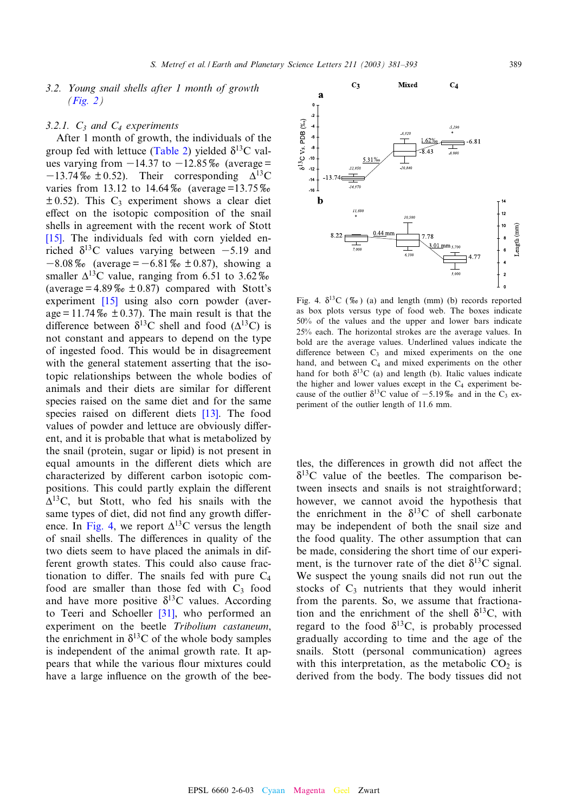# <span id="page-8-0"></span>3.2. [Young](#page-6-0) snail shells after 1 month of growth  $(Fig. 2)$

# 3.2.1.  $C_3$  and  $C_4$  experi[ments](#page-5-0)

After 1 month of growth, the individuals of the group fed with lettuce (Table 2) yielded  $\delta^{13}$ C values varying from  $-14.37$  to  $-12.85\%$  (average =  $-13.74\%$   $\pm$  0.52). Their corresponding  $\Delta^{13}$ C varies from 13.12 to  $14.64\%$  (average =13.75%  $\pm$  0.52). This C<sub>3</sub> experiment shows a clear diet effect on the isotopic composition of the snail shells in agreement with the recent work of Stott [15]. The individuals fed with corn yielded enriched  $\delta^{13}$ C values varying between -5.19 and  $-8.08\%$  (average =  $-6.81\%$  ± 0.87), showing a smaller  $\Delta^{13}$ [C va](#page-11-0)lue, ranging from 6.51 to 3.62\% (average =  $4.89\%$   $\pm$  0.87) compared with Stott's experiment [15] using also corn powder (average = 11.74  $\%$   $\ge$   $\pm$  0.37). The main result is that the difference between  $\delta^{13}$ C shell and food ( $\Delta^{13}$ C) is not constant and appears to depend on the type of ingested food. This would be in disagreement with the general statement asserting that the isotopic relationships between the whole bodies of animals and their diets are simil[ar f](#page-11-0)or different species raised on the same diet and for the same species raised on different diets [13]. The food values of powder and lettuce are obviously different, and it is probable that what is metabolized by the snail (protein, sugar or lipid) is not present in equal amounts in the different diets which are characterized by different carbon isotopic compositions. This could partly explain the different  $\Delta^{13}$ C, but Stott, who fed his snails with the same types of diet, did not find any growth difference. In Fig. 4, we report  $\Delta^{13}$ C versus the length of snail shells. The differences in quality of the two diets seem to have placed the animals in different growth states. This could also cause fractionation to differ. The snails fed with pure  $C_4$ food are smaller than [thos](#page-11-0)e fed with  $C_3$  food and have more positive  $\delta^{13}$ C values. According to Teeri and Schoeller [31], who performed an experiment on the beetle Tribolium castaneum, the enrichment in  $\delta^{13}$ C of the whole body samples is independent of the animal growth rate. It appears that while the various flour mixtures could have a large influence on the growth of the bee-



Fig. 4.  $\delta^{13}C$  (%0) (a) and length (mm) (b) records reported as box plots versus type of food web. The boxes indicate 50% of the values and the upper and lower bars indicate 25% each. The horizontal strokes are the average values. In bold are the average values. Underlined values indicate the difference between  $C_3$  and mixed experiments on the one hand, and between  $C_4$  and mixed experiments on the other hand for both  $\delta^{13}$ C (a) and length (b). Italic values indicate the higher and lower values except in the  $C_4$  experiment because of the outlier  $\delta^{13}$ C value of -5.19% and in the C<sub>3</sub> experiment of the outlier length of 11.6 mm.

tles, the differences in growth did not affect the  $\delta^{13}$ C value of the beetles. The comparison between insects and snails is not straightforward; however, we cannot avoid the hypothesis that the enrichment in the  $\delta^{13}$ C of shell carbonate may be independent of both the snail size and the food quality. The other assumption that can be made, considering the short time of our experiment, is the turnover rate of the diet  $\delta^{13}$ C signal. We suspect the young snails did not run out the stocks of  $C_3$  nutrients that they would inherit from the parents. So, we assume that fractionation and the enrichment of the shell  $\delta^{13}$ C, with regard to the food  $\delta^{13}$ C, is probably processed gradually according to time and the age of the snails. Stott (personal communication) agrees with this interpretation, as the metabolic  $CO<sub>2</sub>$  is derived from the body. The body tissues did not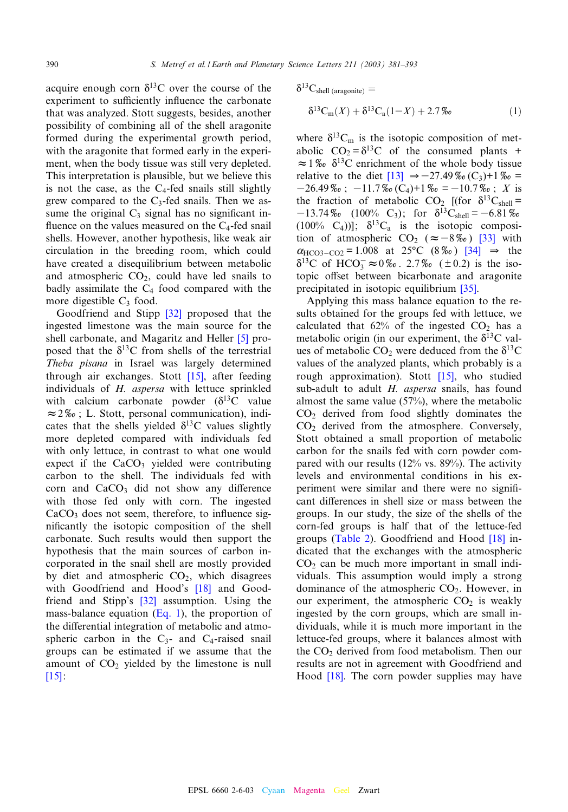acquire enough corn  $\delta^{13}$ C over the course of the experiment to sufficiently influence the carbonate that was analyzed. Stott suggests, besides, another possibility of combining all of the shell aragonite formed during the experimental growth period, with the aragonite that formed early in the experiment, when the body tissue was still very depleted. This interpretation is plausible, but we believe this is not the case, as the  $C_4$ -fed snails still slightly grew compared to the  $C_3$ -fed snails. Then we assume the original  $C_3$  signal has no significant influence on the values measured on the  $C_4$ -fed snail shells. However, another hypothesis, like weak air circulation in the breeding room, which could have created a disequilibrium between metabolic and atmospheric  $CO<sub>2</sub>$ , could have led snails to badly assimilate the  $C_4$  f[ood](#page-11-0) compared with the more digestible  $C_3$  food.

Goodfriend and Stipp [32] proposed t[ha](#page-11-0)t the ingested limestone was the main source for the shell carbonate, and Magaritz and Heller [5] proposed that the  $\delta^{13}$ C from shel[ls of](#page-11-0) the terrestrial Theba pisana in Israel was largely determined through air exchanges. Stott [15], after feeding individuals of H. aspersa with lettuce sprinkled with calcium carbonate powder  $(\delta^{13}C)$  value  $\approx$  2\% c ; L. Stott, personal communication), indicates that the shells yielded  $\delta^{13}$ C values slightly more depleted compared with individuals fed with only lettuce, in contrast to what one would expect if the  $CaCO<sub>3</sub>$  yielded were contributing carbon to the shell. The individuals fed with corn and  $CaCO<sub>3</sub>$  did not show any difference with those fed only with corn. The ingested  $CaCO<sub>3</sub>$  does not seem, therefore, to influence significantly the isotopic composition of the shell carbonate. Such results would then support the hypothesis that the main sources of carbon incorporated in the snail shell are [mo](#page-11-0)stly provided by diet and atmos[pheri](#page-11-0)c  $CO<sub>2</sub>$ , which disagrees with Goodfriend and Hood's [18] and Goodfriend and Stipp's [32] assumption. Using the mass-balance equation  $(Eq. 1)$ , the proportion of the differential integration of metabolic and atmospheric carbon in the  $C_3$ - and  $C_4$ -raised snail [grou](#page-11-0)ps can be estimated if we assume that the amount of  $CO<sub>2</sub>$  yielded by the limestone is null [15]:

$$
\delta^{13}C_{\text{shell (aragonite)}} =
$$
  

$$
\delta^{13}C_{\text{m}}(X) + \delta^{13}C_{\text{a}}(1-X) + 2.7\%o
$$
 (1)

where  $\delta^{13}C_m$  is the isotopic composition of metabolic  $CO_2 = \delta^{13}C$  [of](#page-11-0) the consumed plants +  $\approx 1\%$   $\delta^{13}$ C enrichment of the whole body tissue relative to the diet  $[13] \Rightarrow -27.49\%$ <sub>0</sub> $(C_3)+1\%$ <sub>0</sub>=  $-26.49\%$ ;  $-11.7\%$ <sub>c</sub> $(C_4)$ +1\% $c = -10.7\%$ ; X is the fraction of metabolic CO<sub>2</sub> [(for  $\delta^{13}C_{shell}$  =  $-13.74\%$  (100% C<sub>3</sub>); for  $\delta^{13}$ C<sub>shell</sub> = -[6.](#page-11-0)81\%  $(100\% \text{ C}_4))]$ ;  $\delta^{13}C_a$  is the isoto[pic c](#page-12-0)omposition of atmospheric  $CO_2$  ( $\approx -8\%$ ) [33] with  $\alpha_{\text{HCO3-CO2}} = 1.008 \text{ at } 25^{\circ}\text{C} (8\% \text{)} [34] \Rightarrow \text{the}$  $\delta^{13}$ C of HCO<sub>3</sub>  $\approx$  0%. 2.7% ( $\pm$  0[.2\) i](#page-12-0)s the isotopic offset between bicarbonate and aragonite precipitated in isotopic equilibrium [35].

Applying this mass balance equation to the results obtained for the groups fed with lettuce, we calculated that  $62\%$  of the ingested  $CO<sub>2</sub>$  has a metabolic origin (in our experiment, the  $\delta^{13}$ C values of metabolic  $CO_2$  were ded[uced](#page-11-0) from the  $\delta^{13}C$ values of the analyzed plants, which probably is a rough approximation). Stott [15], who studied sub-adult to adult H. aspersa snails, has found almost the same value (57%), where the metabolic CO2 derived from food slightly dominates the CO2 derived from the atmosphere. Conversely, Stott obtained a small proportion of metabolic carbon for the snails fed with corn powder compared with our results (12% vs. 89%). The activity levels and environmental conditions in his experiment were similar and there were no signi¢ cant differences in shell size or mass between the groups. [In our s](#page-5-0)tudy, the size of the shell[s of](#page-11-0) the corn-fed groups is half that of the lettuce-fed groups (Table 2). Goodfriend and Hood [18] indicated that the exchanges with the atmospheric  $CO<sub>2</sub>$  can be much more important in small individuals. This assumption would imply a strong dominance of the atmospheric  $CO<sub>2</sub>$ . However, in our experiment, the atmospheric  $CO<sub>2</sub>$  is weakly ingested by the corn groups, which are small individuals, while it is much more important in the lettuce-fed groups, where it balances almost with the  $CO<sub>2</sub>$  [de](#page-11-0)rived from food metabolism. Then our results are not in agreement with Goodfriend and Hood [18]. The corn powder supplies may have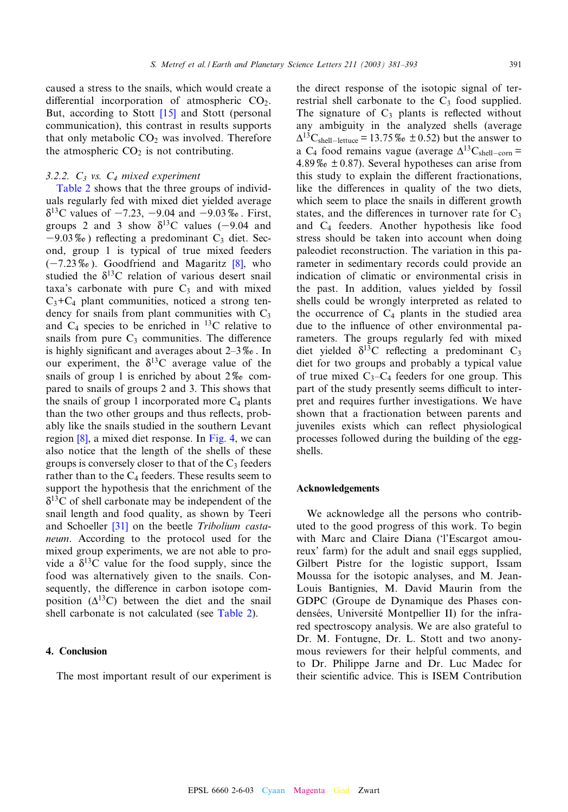caused a stress to the sn[ails, w](#page-11-0)hich would create a differential incorporation of atmospheric  $CO<sub>2</sub>$ . But, according to Stott [15] and Stott (personal communication), this contrast in results supports that only metabolic  $CO<sub>2</sub>$  was involved. Therefore the atmospheric  $CO<sub>2</sub>$  is not contributing.

# 3.[2.2.](#page-5-0)  $C_3$  $C_3$  vs.  $C_4$  mixed experiment

Table 2 shows that the three groups of individuals regularly fed with mixed diet yielded average  $\delta^{13}$ C values of  $-7.23$ ,  $-9.04$  and  $-9.03\%$ . First, groups 2 and 3 show  $\delta^{13}$ C values (-9.04 and  $-9.03\%$ <sub>o</sub>) reflecting a predominant C<sub>3</sub> [diet](#page-11-0). Second, group 1 is typical of true mixed feeders  $(-7.23\%)$ . Goodfriend and Magaritz [8], who studied the  $\delta^{13}$ C relation of various desert snail taxa's carbonate with pure  $C_3$  and with mixed  $C_3+C_4$  plant communities, noticed a strong tendency for snails from plant communities with  $C_3$ and  $C_4$  species to be enriched in <sup>13</sup>C relative to snails from pure  $C_3$  communities. The difference is highly significant and averages about  $2-3\%$ . In our experiment, the  $\delta^{13}$ C average value of the snails of group 1 is enriched by about  $2\%$  compared to snails of groups 2 and 3. This shows that the snails of group 1 incorporated more  $C_4$  plants than t[he t](#page-11-0)wo other groups and thus reflects, probably like the snails studied in the southern Levant region [8], a mixed diet response. In Fig. 4, we can also notice that the length of the shells of these groups is conversely closer to that of the  $C_3$  feeders rather than to the  $C_4$  feeders. These results seem to support the hypothesis that the enrichment of the  $\delta^{13}$ C of shell c[arbo](#page-11-0)nate may be independent of the snail length and food quality, as shown by Teeri and Schoeller [31] on the beetle Tribolium castaneum. According to the protocol used for the mixed group experiments, we are not able to provide a  $\delta^{13}$ C value for the food supply, since the food was alternatively given to the snails. Consequently, the difference in carbon i[sotope c](#page-5-0)omposition  $(\Delta^{13}C)$  between the diet and the snail shell carbonate is not calculated (see Table 2).

### 4. Conclusion

The most important result of our experiment is

the direct response of the isotopic signal of terrestrial shell carbonate to the  $C_3$  food supplied. The signature of  $C_3$  plants is reflected without any ambiguity in the analyzed shells (average  $\Delta^{13}$ C<sub>shell</sub>-lettuce = 13.75 \% to  $\pm$  0.52) but the answer to a C<sub>4</sub> food remains vague (average  $\Delta^{13}C_{shell-corn}$  = 4.89  $\%$   $\div$  0.87). Several hypotheses can arise from this study to explain the different fractionations, like the differences in quality of the two diets, which seem to place the snails in different growth states, and the differences in turnover rate for  $C_3$ and C4 feeders. Another hypothesis like food stress should be taken into account when doing paleodiet reconstruction. The variation in this parameter in sedimentary records could provide an indication of climatic or environmental crisis in the past. In addition, values yielded by fossil shells could be wrongly interpreted as related to the occurrence of  $C_4$  plants in the studied area due to the influence of other environmental parameters. The groups regularly fed with mixed diet yielded  $\delta^{13}$ C reflecting a predominant C<sub>3</sub> diet for two groups and probably a typical value of true mixed  $C_3-C_4$  feeders for one group. This part of the study presently seems difficult to interpret and requires further investigations. We have shown that a fractionation between parents and juveniles exists which can reflect physiological processes followed during the building of the eggshells.

## Acknowledgements

We acknowledge all the persons who contributed to the good progress of this work. To begin with Marc and Claire Diana ('l'Escargot amoureux' farm) for the adult and snail eggs supplied, Gilbert Pistre for the logistic support, Issam Moussa for the isotopic analyses, and M. Jean-Louis Bantignies, M. David Maurin from the GDPC (Groupe de Dynamique des Phases condensées, Université Montpellier II) for the infrared spectroscopy analysis. We are also grateful to Dr. M. Fontugne, Dr. L. Stott and two anonymous reviewers for their helpful comments, and to Dr. Philippe Jarne and Dr. Luc Madec for their scientific advice. This is ISEM Contribution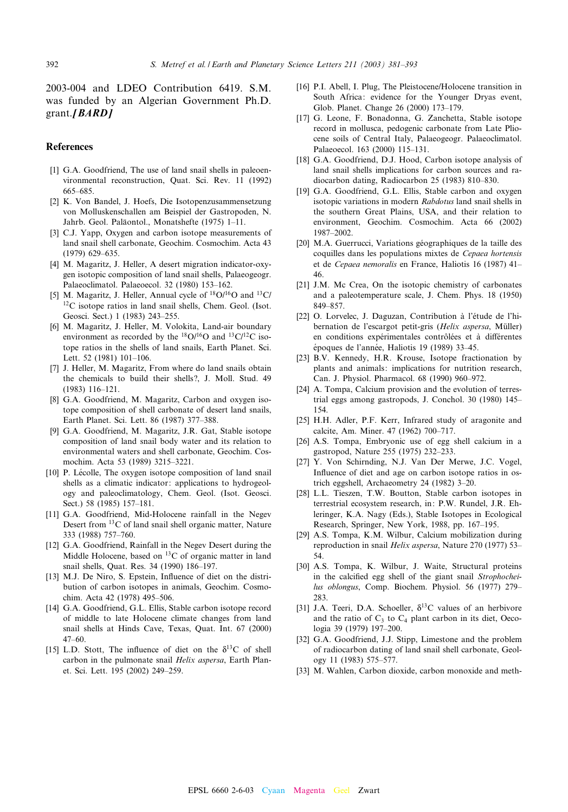<span id="page-11-0"></span>2003-004 and LDEO Contribution 6419. S.M. was funded by an Algerian Government Ph.D. grant. $[BARD]$ 

#### References

- [1] G.A. Goodfriend, The use of land snail shells in paleoenvironmental reconstruction, Quat. Sci. Rev. 11 (1992) 665^685.
- [2] K. Von Bandel, J. Hoefs, Die Isotopenzusammensetzung von Molluskenschallen am Beispiel der Gastropoden, N. Jahrb. Geol. Paläontol., Monatshefte (1975) 1-11.
- [3] C.J. Yapp, Oxygen and carbon isotope measurements of land snail shell carbonate, Geochim. Cosmochim. Acta 43 (1979) 629-635.
- [4] M. Magaritz, J. Heller, A desert migration indicator-oxygen isotopic composition of land snail shells, Palaeogeogr. Palaeoclimatol. Palaeoecol. 32 (1980) 153-162.
- [5] M. Magaritz, J. Heller, Annual cycle of  ${}^{18}O/{}^{16}O$  and  ${}^{13}C/$ 12C isotope ratios in land snail shells, Chem. Geol. (Isot. Geosci. Sect.) 1 (1983) 243-255.
- [6] M. Magaritz, J. Heller, M. Volokita, Land-air boundary environment as recorded by the  $^{18}O/^{16}O$  and  $^{13}C/^{12}C$  isotope ratios in the shells of land snails, Earth Planet. Sci. Lett. 52 (1981) 101-106.
- [7] J. Heller, M. Magaritz, From where do land snails obtain the chemicals to build their shells?, J. Moll. Stud. 49 (1983) 116^121.
- [8] G.A. Goodfriend, M. Magaritz, Carbon and oxygen isotope composition of shell carbonate of desert land snails, Earth Planet. Sci. Lett. 86 (1987) 377-388.
- [9] G.A. Goodfriend, M. Magaritz, J.R. Gat, Stable isotope composition of land snail body water and its relation to environmental waters and shell carbonate, Geochim. Cosmochim. Acta 53 (1989) 3215^3221.
- [10] P. Lécolle, The oxygen isotope composition of land snail shells as a climatic indicator: applications to hydrogeology and paleoclimatology, Chem. Geol. (Isot. Geosci. Sect.) 58 (1985) 157-181.
- [11] G.A. Goodfriend, Mid-Holocene rainfall in the Negev Desert from 13C of land snail shell organic matter, Nature 333 (1988) 757^760.
- [12] G.A. Goodfriend, Rainfall in the Negev Desert during the Middle Holocene, based on  ${}^{13}$ C of organic matter in land snail shells, Quat. Res. 34 (1990) 186^197.
- [13] M.J. De Niro, S. Epstein, Influence of diet on the distribution of carbon isotopes in animals, Geochim. Cosmochim. Acta 42 (1978) 495-506.
- [14] G.A. Goodfriend, G.L. Ellis, Stable carbon isotope record of middle to late Holocene climate changes from land snail shells at Hinds Cave, Texas, Quat. Int. 67 (2000)  $47-60.$
- [15] L.D. Stott, The influence of diet on the  $\delta^{13}$ C of shell carbon in the pulmonate snail Helix aspersa, Earth Planet. Sci. Lett. 195 (2002) 249^259.
- [16] P.I. Abell, I. Plug, The Pleistocene/Holocene transition in South Africa: evidence for the Younger Dryas event, Glob. Planet. Change 26 (2000) 173^179.
- [17] G. Leone, F. Bonadonna, G. Zanchetta, Stable isotope record in mollusca, pedogenic carbonate from Late Pliocene soils of Central Italy, Palaeogeogr. Palaeoclimatol. Palaeoecol. 163 (2000) 115-131.
- [18] G.A. Goodfriend, D.J. Hood, Carbon isotope analysis of land snail shells implications for carbon sources and radiocarbon dating, Radiocarbon 25 (1983) 810^830.
- [19] G.A. Goodfriend, G.L. Ellis, Stable carbon and oxygen isotopic variations in modern Rabdotus land snail shells in the southern Great Plains, USA, and their relation to environment, Geochim. Cosmochim. Acta 66 (2002) 1987^2002.
- [20] M.A. Guerrucci, Variations géographiques de la taille des coquilles dans les populations mixtes de Cepaea hortensis et de Cepaea nemoralis en France, Haliotis 16 (1987) 41^ 46.
- [21] J.M. Mc Crea, On the isotopic chemistry of carbonates and a paleotemperature scale, J. Chem. Phys. 18 (1950) 849-857.
- [22] O. Lorvelec, J. Daguzan, Contribution à l'étude de l'hibernation de l'escargot petit-gris (Helix aspersa, Müller) en conditions expérimentales contrôlées et à différentes époques de l'année, Haliotis 19 (1989) 33-45.
- [23] B.V. Kennedy, H.R. Krouse, Isotope fractionation by plants and animals: implications for nutrition research, Can. J. Physiol. Pharmacol. 68 (1990) 960^972.
- [24] A. Tompa, Calcium provision and the evolution of terrestrial eggs among gastropods, J. Conchol. 30 (1980) 145^ 154.
- [25] H.H. Adler, P.F. Kerr, Infrared study of aragonite and calcite, Am. Miner. 47 (1962) 700^717.
- [26] A.S. Tompa, Embryonic use of egg shell calcium in a gastropod, Nature 255 (1975) 232^233.
- [27] Y. Von Schirnding, N.J. Van Der Merwe, J.C. Vogel, Influence of diet and age on carbon isotope ratios in ostrich eggshell, Archaeometry 24 (1982) 3-20.
- [28] L.L. Tieszen, T.W. Boutton, Stable carbon isotopes in terrestrial ecosystem research, in: P.W. Rundel, J.R. Ehleringer, K.A. Nagy (Eds.), Stable Isotopes in Ecological Research, Springer, New York, 1988, pp. 167-195.
- [29] A.S. Tompa, K.M. Wilbur, Calcium mobilization during reproduction in snail Helix aspersa, Nature 270 (1977) 53-54.
- [30] A.S. Tompa, K. Wilbur, J. Waite, Structural proteins in the calcified egg shell of the giant snail Strophocheilus oblongus, Comp. Biochem. Physiol. 56 (1977) 279-283.
- [31] J.A. Teeri, D.A. Schoeller,  $\delta^{13}$ C values of an herbivore and the ratio of  $C_3$  to  $C_4$  plant carbon in its diet, Oecologia 39 (1979) 197-200.
- [32] G.A. Goodfriend, J.J. Stipp, Limestone and the problem of radiocarbon dating of land snail shell carbonate, Geology 11 (1983) 575^577.
- [33] M. Wahlen, Carbon dioxide, carbon monoxide and meth-